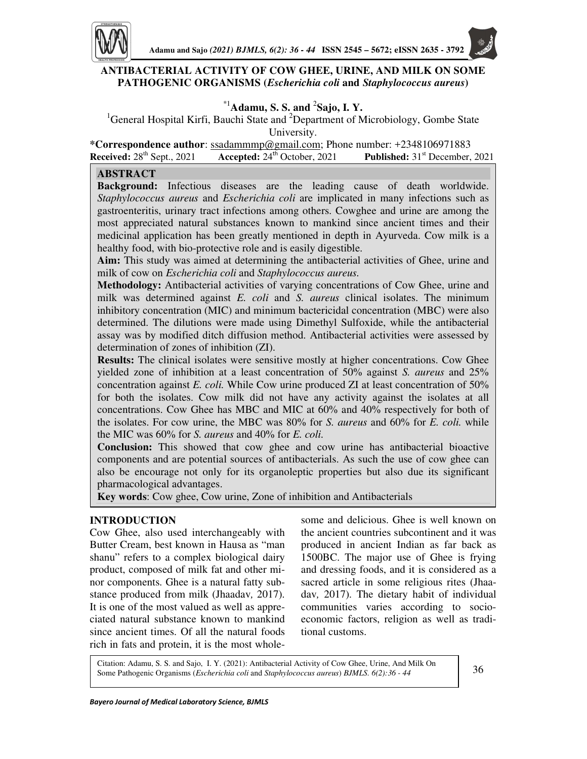

## **ANTIBACTERIAL ACTIVITY OF COW GHEE, URINE, AND MILK ON SOME PATHOGENIC ORGANISMS (***Escherichia coli* **and** *Staphylococcus aureus***)**

# \*1**Adamu, S. S. and** <sup>2</sup> **Sajo, I. Y.**

<sup>1</sup>General Hospital Kirfi, Bauchi State and <sup>2</sup>Department of Microbiology, Gombe State University.

**\*Correspondence author**: ssadammmp@gmail.com; Phone number: +2348106971883 **Received:** 28th Sept., 2021 **Accepted:** 24th October, 2021 **Published:** 31st December, 2021

## **ABSTRACT**

**Background:** Infectious diseases are the leading cause of death worldwide. *Staphylococcus aureus* and *Escherichia coli* are implicated in many infections such as gastroenteritis, urinary tract infections among others. Cowghee and urine are among the most appreciated natural substances known to mankind since ancient times and their medicinal application has been greatly mentioned in depth in Ayurveda. Cow milk is a healthy food, with bio-protective role and is easily digestible.

**Aim:** This study was aimed at determining the antibacterial activities of Ghee, urine and milk of cow on *Escherichia coli* and *Staphylococcus aureus.*

**Methodology:** Antibacterial activities of varying concentrations of Cow Ghee, urine and milk was determined against *E. coli* and *S. aureus* clinical isolates. The minimum inhibitory concentration (MIC) and minimum bactericidal concentration (MBC) were also determined. The dilutions were made using Dimethyl Sulfoxide, while the antibacterial assay was by modified ditch diffusion method. Antibacterial activities were assessed by determination of zones of inhibition (ZI).

**Results:** The clinical isolates were sensitive mostly at higher concentrations. Cow Ghee yielded zone of inhibition at a least concentration of 50% against *S. aureus* and 25% concentration against *E. coli.* While Cow urine produced ZI at least concentration of 50% for both the isolates. Cow milk did not have any activity against the isolates at all concentrations. Cow Ghee has MBC and MIC at 60% and 40% respectively for both of the isolates. For cow urine, the MBC was 80% for *S. aureus* and 60% for *E. coli.* while the MIC was 60% for *S. aureus* and 40% for *E. coli.*

**Conclusion:** This showed that cow ghee and cow urine has antibacterial bioactive components and are potential sources of antibacterials. As such the use of cow ghee can also be encourage not only for its organoleptic properties but also due its significant pharmacological advantages.

**Key words**: Cow ghee, Cow urine, Zone of inhibition and Antibacterials

#### **INTRODUCTION**

ſ

Cow Ghee, also used interchangeably with Butter Cream, best known in Hausa as "man shanu" refers to a complex biological dairy product, composed of milk fat and other minor components. Ghee is a natural fatty substance produced from milk (Jhaadav*,* 2017). It is one of the most valued as well as appreciated natural substance known to mankind since ancient times. Of all the natural foods rich in fats and protein, it is the most wholesome and delicious. Ghee is well known on the ancient countries subcontinent and it was produced in ancient Indian as far back as 1500BC. The major use of Ghee is frying and dressing foods, and it is considered as a sacred article in some religious rites (Jhaadav*,* 2017). The dietary habit of individual communities varies according to socioeconomic factors, religion as well as traditional customs.

Citation: Adamu, S. S. and Sajo, I. Y. (2021): Antibacterial Activity of Cow Ghee, Urine, And Milk On Some Pathogenic Organisms (*Escherichia coli* and *Staphylococcus aureus*) *BJMLS. 6(2):36 - 44* 36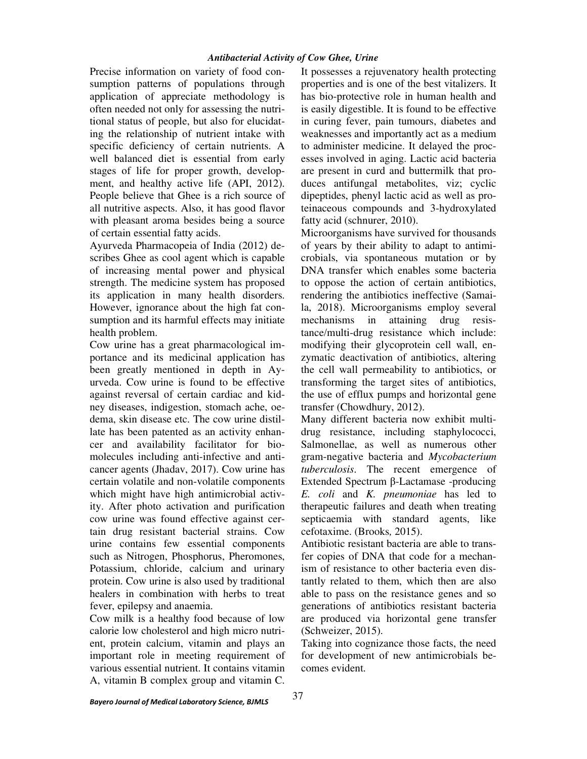Precise information on variety of food consumption patterns of populations through application of appreciate methodology is often needed not only for assessing the nutritional status of people, but also for elucidating the relationship of nutrient intake with specific deficiency of certain nutrients. A well balanced diet is essential from early stages of life for proper growth, development, and healthy active life (API, 2012). People believe that Ghee is a rich source of all nutritive aspects. Also, it has good flavor with pleasant aroma besides being a source of certain essential fatty acids.

Ayurveda Pharmacopeia of India (2012) describes Ghee as cool agent which is capable of increasing mental power and physical strength. The medicine system has proposed its application in many health disorders. However, ignorance about the high fat consumption and its harmful effects may initiate health problem.

Cow urine has a great pharmacological importance and its medicinal application has been greatly mentioned in depth in Ayurveda. Cow urine is found to be effective against reversal of certain cardiac and kidney diseases, indigestion, stomach ache, oedema, skin disease etc. The cow urine distillate has been patented as an activity enhancer and availability facilitator for biomolecules including anti-infective and anticancer agents (Jhadav, 2017). Cow urine has certain volatile and non-volatile components which might have high antimicrobial activity. After photo activation and purification cow urine was found effective against certain drug resistant bacterial strains. Cow urine contains few essential components such as Nitrogen, Phosphorus, Pheromones, Potassium, chloride, calcium and urinary protein. Cow urine is also used by traditional healers in combination with herbs to treat fever, epilepsy and anaemia.

Cow milk is a healthy food because of low calorie low cholesterol and high micro nutrient, protein calcium, vitamin and plays an important role in meeting requirement of various essential nutrient. It contains vitamin A, vitamin B complex group and vitamin C.

It possesses a rejuvenatory health protecting properties and is one of the best vitalizers. It has bio-protective role in human health and is easily digestible. It is found to be effective in curing fever, pain tumours, diabetes and weaknesses and importantly act as a medium to administer medicine. It delayed the processes involved in aging. Lactic acid bacteria are present in curd and buttermilk that produces antifungal metabolites, viz; cyclic dipeptides, phenyl lactic acid as well as proteinaceous compounds and 3-hydroxylated fatty acid (schnurer, 2010).

Microorganisms have survived for thousands of years by their ability to adapt to antimicrobials, via spontaneous mutation or by DNA transfer which enables some bacteria to oppose the action of certain antibiotics, rendering the antibiotics ineffective (Samaila, 2018). Microorganisms employ several mechanisms in attaining drug resistance/multi-drug resistance which include: modifying their glycoprotein cell wall, enzymatic deactivation of antibiotics, altering the cell wall permeability to antibiotics, or transforming the target sites of antibiotics, the use of efflux pumps and horizontal gene transfer (Chowdhury, 2012).

Many different bacteria now exhibit multidrug resistance, including staphylococci, Salmonellae, as well as numerous other gram-negative bacteria and *Mycobacterium tuberculosis*. The recent emergence of Extended Spectrum β-Lactamase -producing *E. coli* and *K. pneumoniae* has led to therapeutic failures and death when treating septicaemia with standard agents, like cefotaxime. (Brooks*,* 2015).

Antibiotic resistant bacteria are able to transfer copies of DNA that code for a mechanism of resistance to other bacteria even distantly related to them, which then are also able to pass on the resistance genes and so generations of antibiotics resistant bacteria are produced via horizontal gene transfer (Schweizer, 2015).

Taking into cognizance those facts, the need for development of new antimicrobials becomes evident.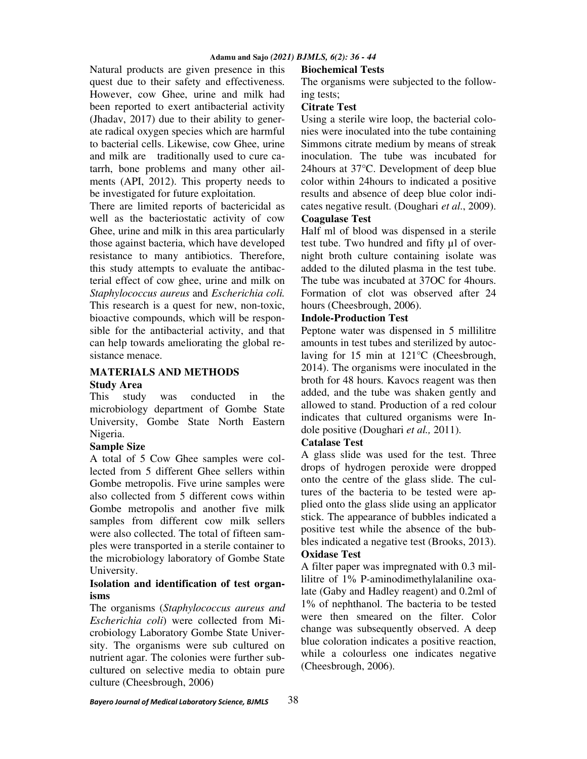Natural products are given presence in this quest due to their safety and effectiveness. However, cow Ghee, urine and milk had been reported to exert antibacterial activity (Jhadav, 2017) due to their ability to generate radical oxygen species which are harmful to bacterial cells. Likewise, cow Ghee, urine and milk are traditionally used to cure catarrh, bone problems and many other ailments (API, 2012). This property needs to be investigated for future exploitation.

There are limited reports of bactericidal as well as the bacteriostatic activity of cow Ghee, urine and milk in this area particularly those against bacteria, which have developed resistance to many antibiotics. Therefore, this study attempts to evaluate the antibacterial effect of cow ghee, urine and milk on *Staphylococcus aureus* and *Escherichia coli.*  This research is a quest for new, non-toxic, bioactive compounds, which will be responsible for the antibacterial activity, and that can help towards ameliorating the global resistance menace.

## **MATERIALS AND METHODS Study Area**

This study was conducted in the microbiology department of Gombe State University, Gombe State North Eastern Nigeria.

#### **Sample Size**

A total of 5 Cow Ghee samples were collected from 5 different Ghee sellers within Gombe metropolis. Five urine samples were also collected from 5 different cows within Gombe metropolis and another five milk samples from different cow milk sellers were also collected. The total of fifteen samples were transported in a sterile container to the microbiology laboratory of Gombe State University.

## **Isolation and identification of test organisms**

The organisms (*Staphylococcus aureus and Escherichia coli*) were collected from Microbiology Laboratory Gombe State University. The organisms were sub cultured on nutrient agar. The colonies were further subcultured on selective media to obtain pure culture (Cheesbrough, 2006)

# **Biochemical Tests**

The organisms were subjected to the following tests;

## **Citrate Test**

Using a sterile wire loop, the bacterial colonies were inoculated into the tube containing Simmons citrate medium by means of streak inoculation. The tube was incubated for 24hours at 37°C. Development of deep blue color within 24hours to indicated a positive results and absence of deep blue color indicates negative result. (Doughari *et al*., 2009). **Coagulase Test** 

Half ml of blood was dispensed in a sterile test tube. Two hundred and fifty µl of overnight broth culture containing isolate was added to the diluted plasma in the test tube. The tube was incubated at 37OC for 4hours. Formation of clot was observed after 24 hours (Cheesbrough, 2006).

## **Indole-Production Test**

Peptone water was dispensed in 5 millilitre amounts in test tubes and sterilized by autoclaving for 15 min at 121°C (Cheesbrough, 2014). The organisms were inoculated in the broth for 48 hours. Kavocs reagent was then added, and the tube was shaken gently and allowed to stand. Production of a red colour indicates that cultured organisms were Indole positive (Doughari *et al.,* 2011).

## **Catalase Test**

A glass slide was used for the test. Three drops of hydrogen peroxide were dropped onto the centre of the glass slide. The cultures of the bacteria to be tested were applied onto the glass slide using an applicator stick. The appearance of bubbles indicated a positive test while the absence of the bubbles indicated a negative test (Brooks, 2013). **Oxidase Test** 

A filter paper was impregnated with 0.3 millilitre of 1% P-aminodimethylalaniline oxalate (Gaby and Hadley reagent) and 0.2ml of 1% of nephthanol. The bacteria to be tested were then smeared on the filter. Color change was subsequently observed. A deep blue coloration indicates a positive reaction, while a colourless one indicates negative (Cheesbrough, 2006).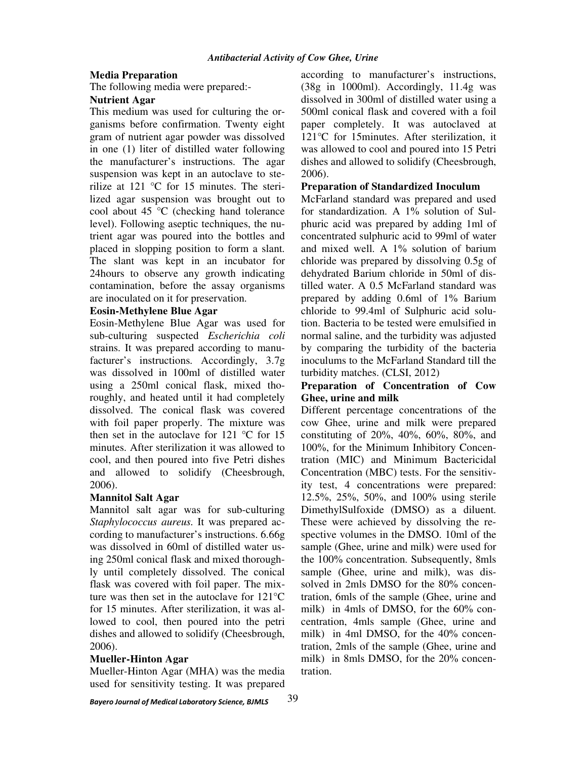#### **Media Preparation**

The following media were prepared:-

#### **Nutrient Agar**

This medium was used for culturing the organisms before confirmation. Twenty eight gram of nutrient agar powder was dissolved in one (1) liter of distilled water following the manufacturer's instructions. The agar suspension was kept in an autoclave to sterilize at 121 °C for 15 minutes. The sterilized agar suspension was brought out to cool about 45 °C (checking hand tolerance level). Following aseptic techniques, the nutrient agar was poured into the bottles and placed in slopping position to form a slant. The slant was kept in an incubator for 24hours to observe any growth indicating contamination, before the assay organisms are inoculated on it for preservation.

#### **Eosin-Methylene Blue Agar**

Eosin-Methylene Blue Agar was used for sub-culturing suspected *Escherichia coli* strains. It was prepared according to manufacturer's instructions. Accordingly, 3.7g was dissolved in 100ml of distilled water using a 250ml conical flask, mixed thoroughly, and heated until it had completely dissolved. The conical flask was covered with foil paper properly. The mixture was then set in the autoclave for 121  $\degree$ C for 15 minutes. After sterilization it was allowed to cool, and then poured into five Petri dishes and allowed to solidify (Cheesbrough, 2006).

#### **Mannitol Salt Agar**

Mannitol salt agar was for sub-culturing *Staphylococcus aureus.* It was prepared according to manufacturer's instructions. 6.66g was dissolved in 60ml of distilled water using 250ml conical flask and mixed thoroughly until completely dissolved. The conical flask was covered with foil paper. The mixture was then set in the autoclave for 121°C for 15 minutes. After sterilization, it was allowed to cool, then poured into the petri dishes and allowed to solidify (Cheesbrough, 2006).

## **Mueller-Hinton Agar**

Mueller-Hinton Agar (MHA) was the media used for sensitivity testing. It was prepared according to manufacturer's instructions, (38g in 1000ml). Accordingly, 11.4g was dissolved in 300ml of distilled water using a 500ml conical flask and covered with a foil paper completely. It was autoclaved at 121°C for 15minutes. After sterilization, it was allowed to cool and poured into 15 Petri dishes and allowed to solidify (Cheesbrough, 2006).

## **Preparation of Standardized Inoculum**

McFarland standard was prepared and used for standardization. A 1% solution of Sulphuric acid was prepared by adding 1ml of concentrated sulphuric acid to 99ml of water and mixed well. A 1% solution of barium chloride was prepared by dissolving 0.5g of dehydrated Barium chloride in 50ml of distilled water. A 0.5 McFarland standard was prepared by adding 0.6ml of 1% Barium chloride to 99.4ml of Sulphuric acid solution. Bacteria to be tested were emulsified in normal saline, and the turbidity was adjusted by comparing the turbidity of the bacteria inoculums to the McFarland Standard till the turbidity matches. (CLSI, 2012)

## **Preparation of Concentration of Cow Ghee, urine and milk**

Different percentage concentrations of the cow Ghee, urine and milk were prepared constituting of 20%, 40%, 60%, 80%, and 100%, for the Minimum Inhibitory Concentration (MIC) and Minimum Bactericidal Concentration (MBC) tests. For the sensitivity test, 4 concentrations were prepared: 12.5%, 25%, 50%, and 100% using sterile DimethylSulfoxide (DMSO) as a diluent. These were achieved by dissolving the respective volumes in the DMSO. 10ml of the sample (Ghee, urine and milk) were used for the 100% concentration. Subsequently, 8mls sample (Ghee, urine and milk), was dissolved in 2mls DMSO for the 80% concentration, 6mls of the sample (Ghee, urine and milk) in 4mls of DMSO, for the 60% concentration, 4mls sample (Ghee, urine and milk) in 4ml DMSO, for the 40% concentration, 2mls of the sample (Ghee, urine and milk) in 8mls DMSO, for the 20% concentration.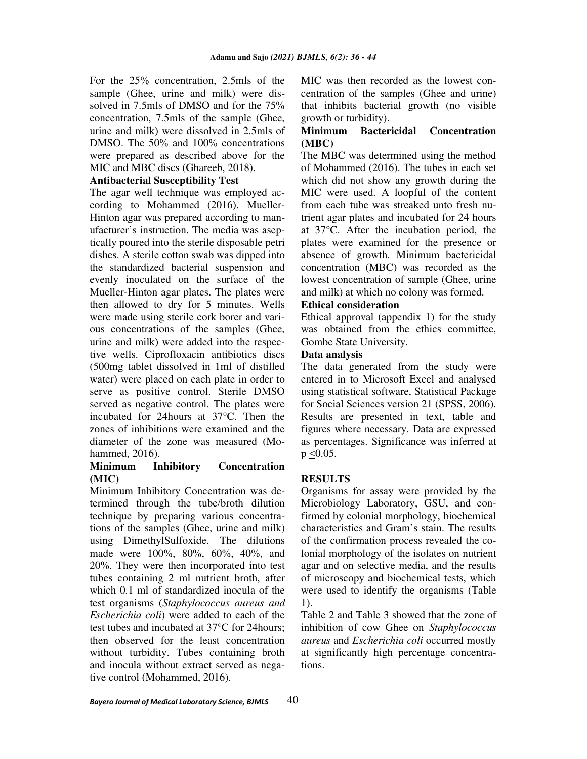For the 25% concentration, 2.5mls of the sample (Ghee, urine and milk) were dissolved in 7.5mls of DMSO and for the 75% concentration, 7.5mls of the sample (Ghee, urine and milk) were dissolved in 2.5mls of DMSO. The 50% and 100% concentrations were prepared as described above for the MIC and MBC discs (Ghareeb, 2018).

#### **Antibacterial Susceptibility Test**

The agar well technique was employed according to Mohammed (2016). Mueller-Hinton agar was prepared according to manufacturer's instruction. The media was aseptically poured into the sterile disposable petri dishes. A sterile cotton swab was dipped into the standardized bacterial suspension and evenly inoculated on the surface of the Mueller-Hinton agar plates. The plates were then allowed to dry for 5 minutes. Wells were made using sterile cork borer and various concentrations of the samples (Ghee, urine and milk) were added into the respective wells. Ciprofloxacin antibiotics discs (500mg tablet dissolved in 1ml of distilled water) were placed on each plate in order to serve as positive control. Sterile DMSO served as negative control. The plates were incubated for 24hours at 37°C. Then the zones of inhibitions were examined and the diameter of the zone was measured (Mohammed, 2016).

## **Minimum Inhibitory Concentration (MIC)**

Minimum Inhibitory Concentration was determined through the tube/broth dilution technique by preparing various concentrations of the samples (Ghee, urine and milk) using DimethylSulfoxide. The dilutions made were 100%, 80%, 60%, 40%, and 20%. They were then incorporated into test tubes containing 2 ml nutrient broth, after which 0.1 ml of standardized inocula of the test organisms (*Staphylococcus aureus and Escherichia coli*) were added to each of the test tubes and incubated at 37°C for 24hours; then observed for the least concentration without turbidity. Tubes containing broth and inocula without extract served as negative control (Mohammed, 2016).

MIC was then recorded as the lowest concentration of the samples (Ghee and urine) that inhibits bacterial growth (no visible growth or turbidity).

#### **Minimum Bactericidal Concentration (MBC)**

The MBC was determined using the method of Mohammed (2016). The tubes in each set which did not show any growth during the MIC were used. A loopful of the content from each tube was streaked unto fresh nutrient agar plates and incubated for 24 hours at 37°C. After the incubation period, the plates were examined for the presence or absence of growth. Minimum bactericidal concentration (MBC) was recorded as the lowest concentration of sample (Ghee, urine and milk) at which no colony was formed.

#### **Ethical consideration**

Ethical approval (appendix 1) for the study was obtained from the ethics committee, Gombe State University.

#### **Data analysis**

The data generated from the study were entered in to Microsoft Excel and analysed using statistical software, Statistical Package for Social Sciences version 21 (SPSS, 2006). Results are presented in text, table and figures where necessary. Data are expressed as percentages. Significance was inferred at  $p \le 0.05$ .

#### **RESULTS**

Organisms for assay were provided by the Microbiology Laboratory, GSU, and confirmed by colonial morphology, biochemical characteristics and Gram's stain. The results of the confirmation process revealed the colonial morphology of the isolates on nutrient agar and on selective media, and the results of microscopy and biochemical tests, which were used to identify the organisms (Table 1).

Table 2 and Table 3 showed that the zone of inhibition of cow Ghee on *Staphylococcus aureus* and *Escherichia coli* occurred mostly at significantly high percentage concentrations.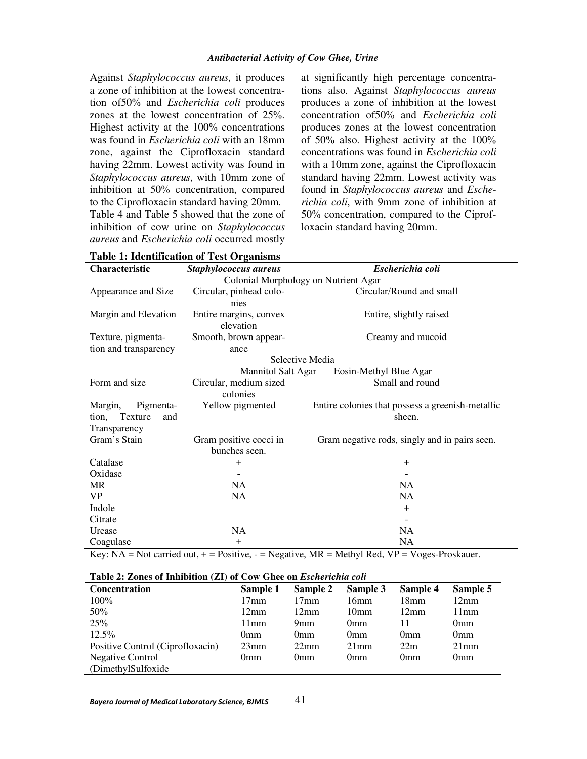Against *Staphylococcus aureus,* it produces a zone of inhibition at the lowest concentration of50% and *Escherichia coli* produces zones at the lowest concentration of 25%. Highest activity at the 100% concentrations was found in *Escherichia coli* with an 18mm zone, against the Ciprofloxacin standard having 22mm. Lowest activity was found in *Staphylococcus aureus*, with 10mm zone of inhibition at 50% concentration, compared to the Ciprofloxacin standard having 20mm. Table 4 and Table 5 showed that the zone of inhibition of cow urine on *Staphylococcus aureus* and *Escherichia coli* occurred mostly

at significantly high percentage concentrations also. Against *Staphylococcus aureus*  produces a zone of inhibition at the lowest concentration of50% and *Escherichia coli* produces zones at the lowest concentration of 50% also. Highest activity at the 100% concentrations was found in *Escherichia coli*  with a 10mm zone, against the Ciprofloxacin standard having 22mm. Lowest activity was found in *Staphylococcus aureus* and *Escherichia coli*, with 9mm zone of inhibition at 50% concentration, compared to the Ciprofloxacin standard having 20mm.

| Characteristic          | Staphylococcus aureus                | Escherichia coli                                 |  |  |
|-------------------------|--------------------------------------|--------------------------------------------------|--|--|
|                         | Colonial Morphology on Nutrient Agar |                                                  |  |  |
| Appearance and Size     | Circular, pinhead colo-              | Circular/Round and small                         |  |  |
|                         | nies                                 |                                                  |  |  |
| Margin and Elevation    | Entire margins, convex               | Entire, slightly raised                          |  |  |
|                         | elevation                            |                                                  |  |  |
| Texture, pigmenta-      | Smooth, brown appear-                | Creamy and mucoid                                |  |  |
| tion and transparency   | ance                                 |                                                  |  |  |
|                         | Selective Media                      |                                                  |  |  |
|                         | <b>Mannitol Salt Agar</b>            | Eosin-Methyl Blue Agar                           |  |  |
| Form and size           | Circular, medium sized               | Small and round                                  |  |  |
|                         | colonies                             |                                                  |  |  |
| Margin,<br>Pigmenta-    | Yellow pigmented                     | Entire colonies that possess a greenish-metallic |  |  |
| Texture<br>tion,<br>and |                                      | sheen.                                           |  |  |
| Transparency            |                                      |                                                  |  |  |
| Gram's Stain            | Gram positive cocci in               | Gram negative rods, singly and in pairs seen.    |  |  |
|                         | bunches seen.                        |                                                  |  |  |
| Catalase                | $\mathrm{+}$                         | $^{+}$                                           |  |  |
| Oxidase                 |                                      |                                                  |  |  |
| MR                      | <b>NA</b>                            | NA                                               |  |  |
| VP.                     | NA.                                  | NA                                               |  |  |
| Indole                  |                                      | $^{+}$                                           |  |  |
| Citrate                 |                                      |                                                  |  |  |
| Urease                  | NA                                   | NA                                               |  |  |
| Coagulase               | $^{+}$                               | NA                                               |  |  |

**Table 1: Identification of Test Organisms** 

Key:  $NA = Not carried out, + = Positive, - = Negative, MR = Methyl Red, VP = Voges-Proskauer.$ 

#### **Table 2: Zones of Inhibition (ZI) of Cow Ghee on** *Escherichia coli*

| Concentration                    | Sample 1       | Sample 2       | Sample 3         | Sample 4         | Sample 5        |
|----------------------------------|----------------|----------------|------------------|------------------|-----------------|
| $100\%$                          | 17mm           | 17mm           | 16mm             | 18 <sub>mm</sub> | $12 \text{mm}$  |
| 50%                              | $12 \text{mm}$ | 12mm           | 10 <sub>mm</sub> | 12mm             | 11mm            |
| 25%                              | 11mm           | 9mm            | 0 <sub>mm</sub>  | 11               | 0 <sub>mm</sub> |
| $12.5\%$                         | 0mm            | 0mm            | 0 <sub>mm</sub>  | 0 <sub>mm</sub>  | 0 <sub>mm</sub> |
| Positive Control (Ciprofloxacin) | 23mm           | $22 \text{mm}$ | $21$ mm          | 22m              | 21mm            |
| <b>Negative Control</b>          | 0mm            | 0mm            | 0 <sub>mm</sub>  | 0 <sub>mm</sub>  | 0 <sub>mm</sub> |
| (DimethylSulfoxide)              |                |                |                  |                  |                 |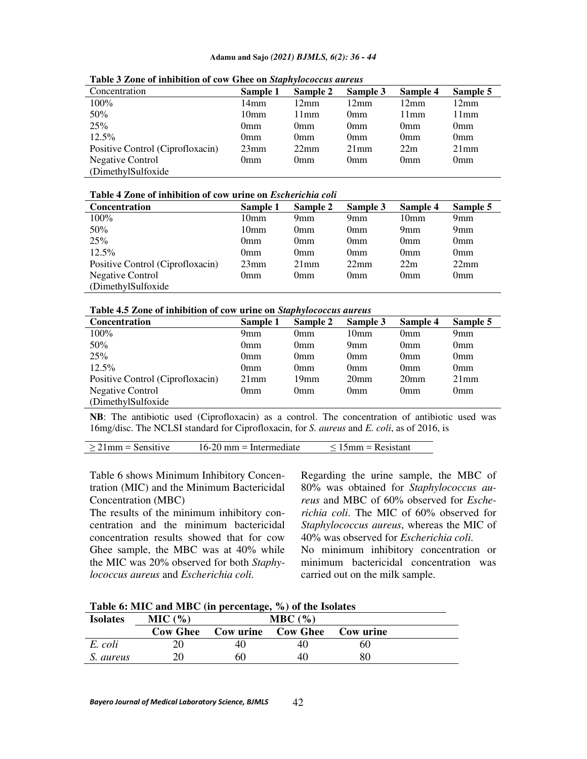#### **Adamu and Sajo** *(2021) BJMLS, 6(2): 36 - 44*

| Concentration                    | Sample 1         | Sample 2       | Sample 3        | Sample 4        | Sample 5        |
|----------------------------------|------------------|----------------|-----------------|-----------------|-----------------|
| $100\%$                          | 14mm             | $12 \text{mm}$ | $12 \text{mm}$  | 12mm            | $12 \text{mm}$  |
| 50%                              | 10 <sub>mm</sub> | 11mm           | 0mm             | 11mm            | 11mm            |
| 25%                              | 0 <sub>mm</sub>  | 0mm            | 0 <sub>mm</sub> | 0 <sub>mm</sub> | 0 <sub>mm</sub> |
| $12.5\%$                         | 0mm              | 0mm            | 0mm             | 0 <sub>mm</sub> | 0 <sub>mm</sub> |
| Positive Control (Ciprofloxacin) | 23mm             | 22mm           | $21$ mm         | 22m             | 21mm            |
| <b>Negative Control</b>          | 0mm              | 0mm            | 0mm             | 0 <sub>mm</sub> | 0 <sub>mm</sub> |
| (DimethylSulfoxide)              |                  |                |                 |                 |                 |

**Table 3 Zone of inhibition of cow Ghee on** *Staphylococcus aureus*

#### **Table 4 Zone of inhibition of cow urine on** *Escherichia coli*

| <b>Concentration</b>             | Sample 1         | Sample 2 | Sample 3        | Sample 4         | Sample 5        |
|----------------------------------|------------------|----------|-----------------|------------------|-----------------|
| $100\%$                          | 10 <sub>mm</sub> | 9mm      | 9mm             | 10 <sub>mm</sub> | 9 <sub>mm</sub> |
| 50%                              | 10 <sub>mm</sub> | 0mm      | 0 <sub>mm</sub> | 9 <sub>mm</sub>  | 9 <sub>mm</sub> |
| 25%                              | 0mm              | 0mm      | 0 <sub>mm</sub> | 0 <sub>mm</sub>  | 0 <sub>mm</sub> |
| $12.5\%$                         | 0mm              | 0mm      | 0 <sub>mm</sub> | 0 <sub>mm</sub>  | 0 <sub>mm</sub> |
| Positive Control (Ciprofloxacin) | 23mm             | $21$ mm  | $22 \text{mm}$  | 22m              | 22mm            |
| <b>Negative Control</b>          | Omm)             | 0mm      | 0 <sub>mm</sub> | 0 <sub>mm</sub>  | 0 <sub>mm</sub> |
| (DimethylSulfoxide)              |                  |          |                 |                  |                 |

**Table 4.5 Zone of inhibition of cow urine on** *Staphylococcus aureus*

| <b>Concentration</b>             | Sample 1        | Sample 2         | Sample 3         | Sample 4         | Sample 5        |
|----------------------------------|-----------------|------------------|------------------|------------------|-----------------|
| 100%                             | 9 <sub>mm</sub> | 0 <sub>mm</sub>  | 10 <sub>mm</sub> | 0 <sub>mm</sub>  | 9mm             |
| 50%                              | 0mm             | 0 <sub>mm</sub>  | 9mm              | 0 <sub>mm</sub>  | 0 <sub>mm</sub> |
| 25%                              | 0mm             | 0 <sub>mm</sub>  | 0mm              | 0 <sub>mm</sub>  | 0 <sub>mm</sub> |
| $12.5\%$                         | 0mm             | 0 <sub>mm</sub>  | 0mm              | 0 <sub>mm</sub>  | 0 <sub>mm</sub> |
| Positive Control (Ciprofloxacin) | $21$ mm         | 19 <sub>mm</sub> | 20 <sub>mm</sub> | 20 <sub>mm</sub> | $21$ mm         |
| <b>Negative Control</b>          | 0mm             | 0mm              | 0mm              | 0 <sub>mm</sub>  | 0 <sub>mm</sub> |
| (DimethylSulfoxide)              |                 |                  |                  |                  |                 |

**NB**: The antibiotic used (Ciprofloxacin) as a control. The concentration of antibiotic used was 16mg/disc. The NCLSI standard for Ciprofloxacin, for *S. aureus* and *E. coli*, as of 2016, is

|--|

Table 6 shows Minimum Inhibitory Concentration (MIC) and the Minimum Bactericidal Concentration (MBC)

The results of the minimum inhibitory concentration and the minimum bactericidal concentration results showed that for cow Ghee sample, the MBC was at 40% while the MIC was 20% observed for both *Staphylococcus aureus* and *Escherichia coli*.

Regarding the urine sample, the MBC of 80% was obtained for *Staphylococcus aureus* and MBC of 60% observed for *Escherichia coli*. The MIC of 60% observed for *Staphylococcus aureus*, whereas the MIC of 40% was observed for *Escherichia coli*. No minimum inhibitory concentration or minimum bactericidal concentration was carried out on the milk sample.

| Table 6: MIC and MBC (in percentage, %) of the Isolates |  |  |
|---------------------------------------------------------|--|--|
|---------------------------------------------------------|--|--|

| <b>Isolates</b> | MIC(%)   | MBC(%) |                           |                  |  |
|-----------------|----------|--------|---------------------------|------------------|--|
|                 | Cow Ghee |        | <b>Cow urine</b> Cow Ghee | <b>Cow</b> urine |  |
| E. coli         |          |        | 40                        | 60               |  |
| S. aureus       | 20       | 60     | 40                        |                  |  |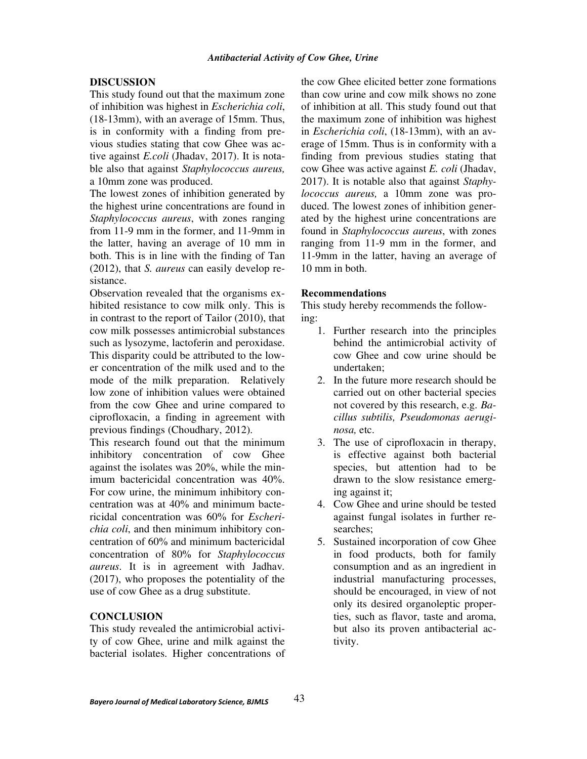#### **DISCUSSION**

This study found out that the maximum zone of inhibition was highest in *Escherichia coli*, (18-13mm), with an average of 15mm. Thus, is in conformity with a finding from previous studies stating that cow Ghee was active against *E.coli* (Jhadav, 2017). It is notable also that against *Staphylococcus aureus,*  a 10mm zone was produced.

The lowest zones of inhibition generated by the highest urine concentrations are found in *Staphylococcus aureus*, with zones ranging from 11-9 mm in the former, and 11-9mm in the latter, having an average of 10 mm in both. This is in line with the finding of Tan (2012), that *S. aureus* can easily develop resistance.

Observation revealed that the organisms exhibited resistance to cow milk only. This is in contrast to the report of Tailor (2010), that cow milk possesses antimicrobial substances such as lysozyme, lactoferin and peroxidase. This disparity could be attributed to the lower concentration of the milk used and to the mode of the milk preparation. Relatively low zone of inhibition values were obtained from the cow Ghee and urine compared to ciprofloxacin, a finding in agreement with previous findings (Choudhary, 2012).

This research found out that the minimum inhibitory concentration of cow Ghee against the isolates was 20%, while the minimum bactericidal concentration was 40%. For cow urine, the minimum inhibitory concentration was at 40% and minimum bactericidal concentration was 60% for *Escherichia coli*, and then minimum inhibitory concentration of 60% and minimum bactericidal concentration of 80% for *Staphylococcus aureus*. It is in agreement with Jadhav*.*  (2017), who proposes the potentiality of the use of cow Ghee as a drug substitute.

#### **CONCLUSION**

This study revealed the antimicrobial activity of cow Ghee, urine and milk against the bacterial isolates. Higher concentrations of the cow Ghee elicited better zone formations than cow urine and cow milk shows no zone of inhibition at all. This study found out that the maximum zone of inhibition was highest in *Escherichia coli*, (18-13mm), with an average of 15mm. Thus is in conformity with a finding from previous studies stating that cow Ghee was active against *E. coli* (Jhadav, 2017). It is notable also that against *Staphylococcus aureus,* a 10mm zone was produced. The lowest zones of inhibition generated by the highest urine concentrations are found in *Staphylococcus aureus*, with zones ranging from 11-9 mm in the former, and 11-9mm in the latter, having an average of 10 mm in both.

#### **Recommendations**

This study hereby recommends the following:

- 1. Further research into the principles behind the antimicrobial activity of cow Ghee and cow urine should be undertaken;
- 2. In the future more research should be carried out on other bacterial species not covered by this research, e.g. *Bacillus subtilis, Pseudomonas aeruginosa,* etc.
- 3. The use of ciprofloxacin in therapy, is effective against both bacterial species, but attention had to be drawn to the slow resistance emerging against it;
- 4. Cow Ghee and urine should be tested against fungal isolates in further researches;
- 5. Sustained incorporation of cow Ghee in food products, both for family consumption and as an ingredient in industrial manufacturing processes, should be encouraged, in view of not only its desired organoleptic properties, such as flavor, taste and aroma, but also its proven antibacterial activity.